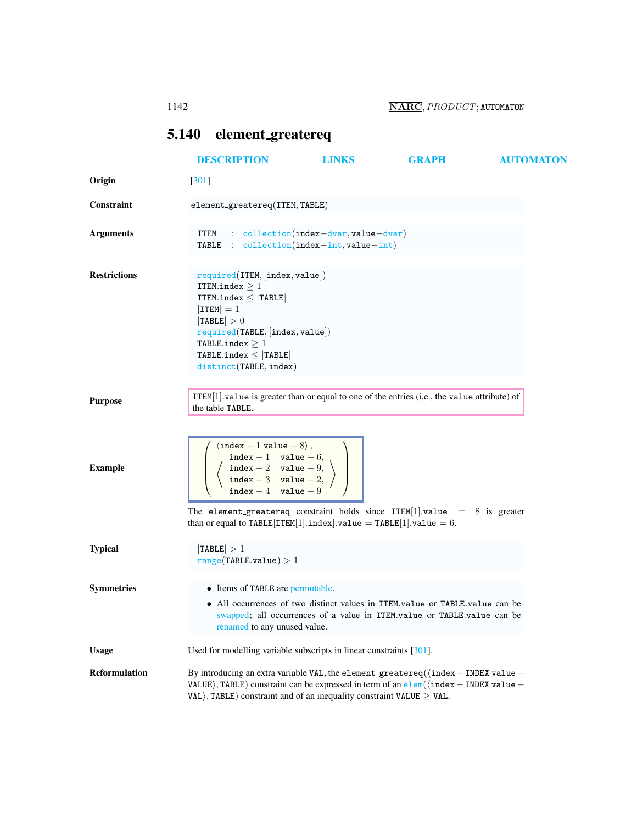## <span id="page-0-0"></span>5.140 element greatereq

|                      | <b>DESCRIPTION</b>                                                                                                                                                                                                                                                                                      | <b>LINKS</b>                                    | <b>GRAPH</b> | <b>AUTOMATON</b> |  |
|----------------------|---------------------------------------------------------------------------------------------------------------------------------------------------------------------------------------------------------------------------------------------------------------------------------------------------------|-------------------------------------------------|--------------|------------------|--|
| Origin               | $[301]$                                                                                                                                                                                                                                                                                                 |                                                 |              |                  |  |
| <b>Constraint</b>    | element_greatereq(ITEM, TABLE)                                                                                                                                                                                                                                                                          |                                                 |              |                  |  |
| <b>Arguments</b>     | ITEM<br>TABLE : $\text{collection}(\text{index}-\text{int}, \text{value}-\text{int})$                                                                                                                                                                                                                   | $\therefore$ collection(index-dvar, value-dvar) |              |                  |  |
| <b>Restrictions</b>  | required(ITER, [index, value])<br>ITEM.index $\geq 1$<br>ITEM.index $\leq$  TABLE <br>$ $ ITEM $ =1$<br> TABLE  > 0<br>required(TABLE, [index, value])<br>TABLE.index $\geq 1$<br>TABLE.index $\leq$ TABLE<br>distinct (TABLE, index)                                                                   |                                                 |              |                  |  |
| <b>Purpose</b>       | $ITEM[1].value$ is greater than or equal to one of the entries (i.e., the value attribute) of<br>the table TABLE.                                                                                                                                                                                       |                                                 |              |                  |  |
| <b>Example</b>       | $\langle$ index - 1 value - 8 $\rangle$ ,<br>$\left\{\n \begin{array}{c}\n \text{index } -1 \quad \text{value } -6, \\ \text{index } -2 \quad \text{value } -9, \\ \text{index } -3 \quad \text{value } -2, \\ \text{index } -4 \quad \text{value } -9\n \end{array}\n\right\}$                         |                                                 |              |                  |  |
|                      | The element_greatereq constraint holds since $ITEM[1].value = 8$ is greater<br>than or equal to $\texttt{TABLE}[\texttt{ITEM}[1].\texttt{index}].\texttt{value} = \texttt{TABLE}[1].\texttt{value} = 6.$                                                                                                |                                                 |              |                  |  |
| <b>Typical</b>       | TABLE  > 1<br>range(TABLE.value) > 1                                                                                                                                                                                                                                                                    |                                                 |              |                  |  |
| <b>Symmetries</b>    | • Items of TABLE are permutable.<br>• All occurrences of two distinct values in ITEM.value or TABLE.value can be<br>swapped; all occurrences of a value in ITEM.value or TABLE.value can be<br>renamed to any unused value.                                                                             |                                                 |              |                  |  |
| <b>Usage</b>         | Used for modelling variable subscripts in linear constraints [301].                                                                                                                                                                                                                                     |                                                 |              |                  |  |
| <b>Reformulation</b> | By introducing an extra variable VAL, the element_greatereq( $\langle$ index - INDEX value -<br>VALUE), TABLE) constraint can be expressed in term of an $\frac{e1}{em}(\text{index} - \text{INDEX value} - \text{index})$<br>VAL), TABLE) constraint and of an inequality constraint VALUE $\geq$ VAL. |                                                 |              |                  |  |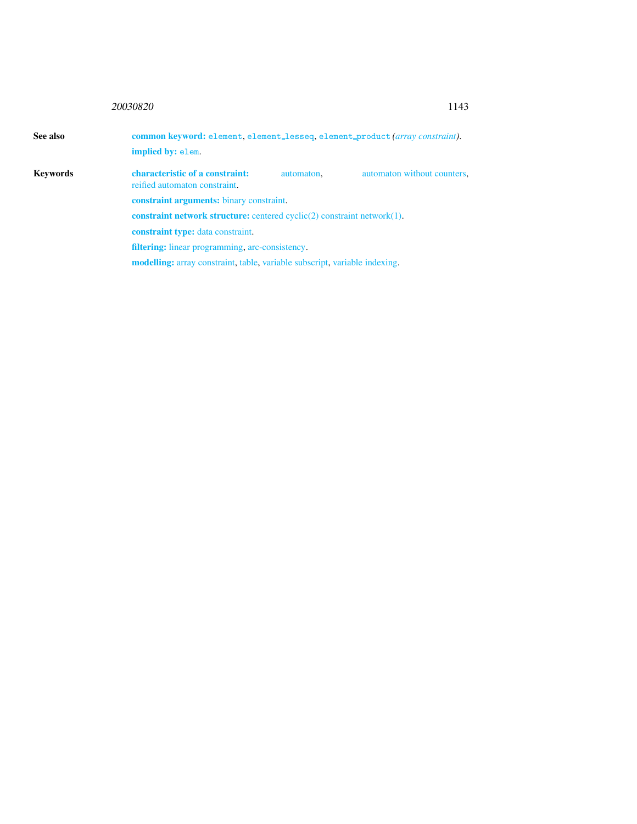## 20030820 11<sup>4</sup>

|  | ۰,<br>۰.<br>٠ |
|--|---------------|
|  |               |

<span id="page-1-0"></span>

| See also        |                                                                                       | common keyword: element, element_lesseq, element_product (array constraint). |                             |  |  |
|-----------------|---------------------------------------------------------------------------------------|------------------------------------------------------------------------------|-----------------------------|--|--|
|                 | implied by: elem.                                                                     |                                                                              |                             |  |  |
| <b>Keywords</b> | characteristic of a constraint:<br>reified automaton constraint.                      | automaton.                                                                   | automaton without counters. |  |  |
|                 | <b>constraint arguments:</b> binary constraint.                                       |                                                                              |                             |  |  |
|                 | <b>constraint network structure:</b> centered cyclic $(2)$ constraint network $(1)$ . |                                                                              |                             |  |  |
|                 | <b>constraint type:</b> data constraint.                                              |                                                                              |                             |  |  |
|                 | filtering: linear programming, arc-consistency.                                       |                                                                              |                             |  |  |
|                 | <b>modelling:</b> array constraint, table, variable subscript, variable indexing.     |                                                                              |                             |  |  |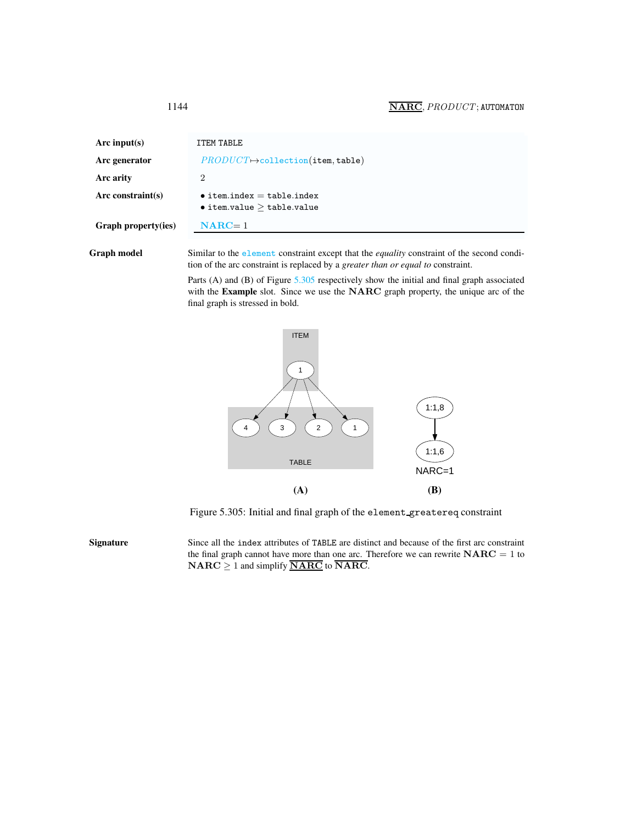<span id="page-2-0"></span>

| Arc input(s)         | ITEM TABLE                                                                 |
|----------------------|----------------------------------------------------------------------------|
| Arc generator        | $PRODUCT \rightarrow collection(\texttt{item}, \texttt{table})$            |
| Arc arity            | 2                                                                          |
| Arc constraint $(s)$ | $\bullet$ item.index = table.index<br>$\bullet$ item.value $>$ table.value |
| Graph property(ies)  | $NARC = 1$                                                                 |

Graph model Similar to the element constraint except that the *equality* constraint of the second condition of the arc constraint is replaced by a *greater than or equal to* constraint.

> Parts (A) and (B) of Figure [5.305](#page-2-1) respectively show the initial and final graph associated with the Example slot. Since we use the NARC graph property, the unique arc of the final graph is stressed in bold.



<span id="page-2-1"></span>Figure 5.305: Initial and final graph of the element greatereq constraint

Signature Since all the index attributes of TABLE are distinct and because of the first arc constraint the final graph cannot have more than one arc. Therefore we can rewrite  $NARC = 1$  to  $\mathbf{NARC} \geq 1$  and simplify  $\overline{\mathbf{NARC}}$  to  $\overline{\mathbf{NARC}}$ .